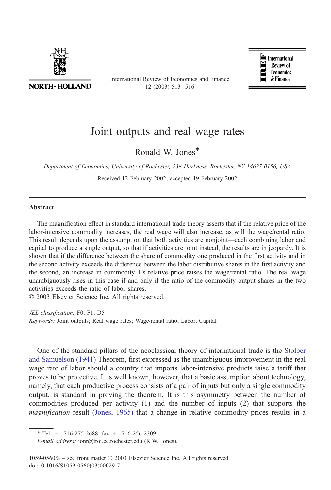

**NORTH-HOLLAND** 

International Review of Economics and Finance 12 (2003) 513 – 516



## Joint outputs and real wage rates

Ronald W. Jones\*

Department of Economics, University of Rochester, 238 Harkness, Rochester, NY 14627-0156, USA

Received 12 February 2002; accepted 19 February 2002

## Abstract

The magnification effect in standard international trade theory asserts that if the relative price of the labor-intensive commodity increases, the real wage will also increase, as will the wage/rental ratio. This result depends upon the assumption that both activities are nonjoint—each combining labor and capital to produce a single output, so that if activities are joint instead, the results are in jeopardy. It is shown that if the difference between the share of commodity one produced in the first activity and in the second activity exceeds the difference between the labor distributive shares in the first activity and the second, an increase in commodity 1's relative price raises the wage/rental ratio. The real wage unambiguously rises in this case if and only if the ratio of the commodity output shares in the two activities exceeds the ratio of labor shares.

 $© 2003 Elsevier Science Inc. All rights reserved.$ 

JEL classification: F0; F1; D5 Keywords: Joint outputs; Real wage rates; Wage/rental ratio; Labor; Capital

One of the standard pillars of the neoclassical theory of international trade is the [Stolper](#page--1-0) and Samuelson (1941) Theorem, first expressed as the unambiguous improvement in the real wage rate of labor should a country that imports labor-intensive products raise a tariff that proves to be protective. It is well known, however, that a basic assumption about technology, namely, that each productive process consists of a pair of inputs but only a single commodity output, is standard in proving the theorem. It is this asymmetry between the number of commodities produced per activity (1) and the number of inputs (2) that supports the magnification result [\(Jones, 1965\)](#page--1-0) that a change in relative commodity prices results in a

<sup>\*</sup> Tel.: +1-716-275-2688; fax: +1-716-256-2309.

E-mail address: jonr@troi.cc.rochester.edu (R.W. Jones).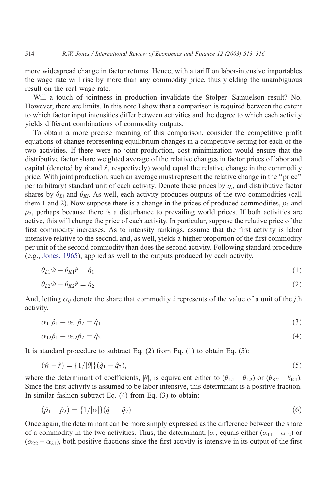more widespread change in factor returns. Hence, with a tariff on labor-intensive importables the wage rate will rise by more than any commodity price, thus yielding the unambiguous result on the real wage rate.

Will a touch of jointness in production invalidate the Stolper–Samuelson result? No. However, there are limits. In this note I show that a comparison is required between the extent to which factor input intensities differ between activities and the degree to which each activity yields different combinations of commodity outputs.

To obtain a more precise meaning of this comparison, consider the competitive profit equations of change representing equilibrium changes in a competitive setting for each of the two activities. If there were no joint production, cost minimization would ensure that the distributive factor share weighted average of the relative changes in factor prices of labor and capital (denoted by  $\hat{w}$  and  $\hat{r}$ , respectively) would equal the relative change in the commodity price. With joint production, such an average must represent the relative change in the ''price'' per (arbitrary) standard unit of each activity. Denote these prices by  $q_i$ , and distributive factor shares by  $\theta_{Li}$  and  $\theta_{Ki}$ . As well, each activity produces outputs of the two commodities (call them 1 and 2). Now suppose there is a change in the prices of produced commodities,  $p_1$  and  $p_2$ , perhaps because there is a disturbance to prevailing world prices. If both activities are active, this will change the price of each activity. In particular, suppose the relative price of the first commodity increases. As to intensity rankings, assume that the first activity is labor intensive relative to the second, and, as well, yields a higher proportion of the first commodity per unit of the second commodity than does the second activity. Following standard procedure (e.g., [Jones, 1965\)](#page--1-0), applied as well to the outputs produced by each activity,

$$
\theta_{L1}\hat{\mathbf{w}} + \theta_{K1}\hat{r} = \hat{q}_1\tag{1}
$$

$$
\theta_{L2}\hat{w} + \theta_{K2}\hat{r} = \hat{q}_2\tag{2}
$$

And, letting  $\alpha_{ij}$  denote the share that commodity *i* represents of the value of a unit of the *j*th activity,

$$
\alpha_{11}\hat{p}_1 + \alpha_{21}\hat{p}_2 = \hat{q}_1\tag{3}
$$

$$
\alpha_{12}\hat{p}_1 + \alpha_{22}\hat{p}_2 = \hat{q}_2 \tag{4}
$$

It is standard procedure to subtract Eq. (2) from Eq. (1) to obtain Eq. (5):

$$
(\hat{w} - \hat{r}) = \{1/|\theta|\}(\hat{q}_1 - \hat{q}_2),\tag{5}
$$

where the determinant of coefficients,  $|\theta|$ , is equivalent either to  $(\theta_{L1} - \theta_{L2})$  or  $(\theta_{K2} - \theta_{K1})$ . Since the first activity is assumed to be labor intensive, this determinant is a positive fraction. In similar fashion subtract Eq. (4) from Eq. (3) to obtain:

$$
(\hat{p}_1 - \hat{p}_2) = \{1/|\alpha|\}(\hat{q}_1 - \hat{q}_2) \tag{6}
$$

Once again, the determinant can be more simply expressed as the difference between the share of a commodity in the two activities. Thus, the determinant,  $|\alpha|$ , equals either  $(\alpha_{11} - \alpha_{12})$  or  $(\alpha_{22} - \alpha_{21})$ , both positive fractions since the first activity is intensive in its output of the first